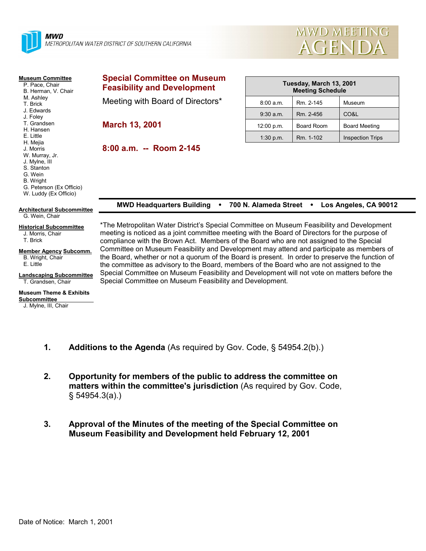



#### **Museum Committee**

- P. Pace, Chair B. Herman, V. Chair
- M. Ashley
- T. Brick
- J. Edwards
- J. Foley T. Grandsen
- H. Hansen
- E. Little
- H. Mejia
- J. Morris
- W. Murray, Jr.
- J. Mylne, III

S. Stanton

- G. Wein
- B. Wright

G. Peterson (Ex Officio)

W. Luddy (Ex Officio)

### **Special Committee on Museum Feasibility and Development**

Meeting with Board of Directors\*

**March 13, 2001**

**8:00 a.m. -- Room 2-145**

| Tuesday, March 13, 2001<br><b>Meeting Schedule</b> |            |                         |  |  |  |
|----------------------------------------------------|------------|-------------------------|--|--|--|
| 8:00 a.m.                                          | Rm. 2-145  | Museum                  |  |  |  |
| $9:30$ a.m.                                        | Rm. 2-456  | CO&L                    |  |  |  |
| 12:00 p.m.                                         | Board Room | <b>Board Meeting</b>    |  |  |  |
| 1:30 p.m.                                          | Rm. 1-102  | <b>Inspection Trips</b> |  |  |  |

| <b>MWD Headquarters Building</b> |  |  |  | 700 N. Alameda Street . Los Angeles, CA 90012 |
|----------------------------------|--|--|--|-----------------------------------------------|
|----------------------------------|--|--|--|-----------------------------------------------|

#### **Architectural Subcommittee** G. Wein, Chair

## **Historical Subcommittee**

#### J. Morris, Chair T. Brick

**Member Agency Subcomm.** B. Wright, Chair E. Little

#### **Landscaping Subcommittee** T. Grandsen, Chair

# **Museum Theme & Exhibits**

**Subcommittee** 

J. Mylne, III, Chair

\*The Metropolitan Water District's Special Committee on Museum Feasibility and Development meeting is noticed as a joint committee meeting with the Board of Directors for the purpose of compliance with the Brown Act. Members of the Board who are not assigned to the Special Committee on Museum Feasibility and Development may attend and participate as members of the Board, whether or not a quorum of the Board is present. In order to preserve the function of the committee as advisory to the Board, members of the Board who are not assigned to the Special Committee on Museum Feasibility and Development will not vote on matters before the Special Committee on Museum Feasibility and Development.

- **1. Additions to the Agenda** (As required by Gov. Code, § 54954.2(b).)
- **2. Opportunity for members of the public to address the committee on matters within the committee's jurisdiction** (As required by Gov. Code, § 54954.3(a).)
- **3. Approval of the Minutes of the meeting of the Special Committee on Museum Feasibility and Development held February 12, 2001**